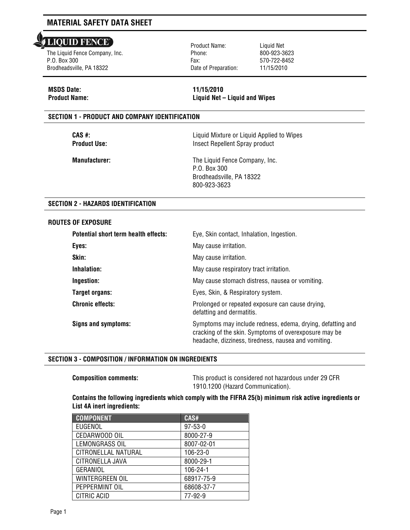#### **LIQUID FENCE** l

The Liquid Fence Company, Inc. P.O. Box 300 Brodheadsville, PA 18322

Product Name: Phone: Fax: Date of Preparation: Liquid Net 800-923-3623 570-722-8452 11/15/2010

# **MSDS Date: 11/15/2010**

**Product Name: Liquid Net – Liquid and Wipes**

# **SECTION 1 - PRODUCT AND COMPANY IDENTIFICATION**

**CAS #:** Liquid Mixture or Liquid Applied to Wipes **Product Use:** Insect Repellent Spray product

**Manufacturer:** The Liquid Fence Company, Inc. P.O. Box 300 Brodheadsville, PA 18322 800-923-3623

# **SECTION 2 - HAZARDS IDENTIFICATION**

### **ROUTES OF EXPOSURE**

| Potential short term health effects: | Eye, Skin contact, Inhalation, Ingestion.                                                                                                                                   |  |
|--------------------------------------|-----------------------------------------------------------------------------------------------------------------------------------------------------------------------------|--|
| Eyes:                                | May cause irritation.                                                                                                                                                       |  |
| Skin:                                | May cause irritation.                                                                                                                                                       |  |
| Inhalation:                          | May cause respiratory tract irritation.                                                                                                                                     |  |
| Ingestion:                           | May cause stomach distress, nausea or vomiting.                                                                                                                             |  |
| Target organs:                       | Eyes, Skin, & Respiratory system.                                                                                                                                           |  |
| <b>Chronic effects:</b>              | Prolonged or repeated exposure can cause drying,<br>defatting and dermatitis.                                                                                               |  |
| Signs and symptoms:                  | Symptoms may include redness, edema, drying, defatting and<br>cracking of the skin. Symptoms of overexposure may be<br>headache, dizziness, tiredness, nausea and vomiting. |  |

## **SECTION 3 - COMPOSITION / INFORMATION ON INGREDIENTS**

**Composition comments:** This product is considered not hazardous under 29 CFR 1910.1200 (Hazard Communication).

## **Contains the following ingredients which comply with the FIFRA 25(b) minimum risk active ingredients or List 4A inert ingredients:**

| <b>COMPONENT</b>       | CAS#          |
|------------------------|---------------|
| EUGENOL                | $97 - 53 - 0$ |
| CEDARWOOD OIL          | 8000-27-9     |
| LEMONGRASS OIL         | 8007-02-01    |
| CITRONELLAL NATURAL    | 106-23-0      |
| CITRONELLA JAVA        | 8000-29-1     |
| GERANIOL               | 106-24-1      |
| <b>WINTERGREEN OIL</b> | 68917-75-9    |
| PEPPERMINT OIL         | 68608-37-7    |
| CITRIC ACID            | 77-92-9       |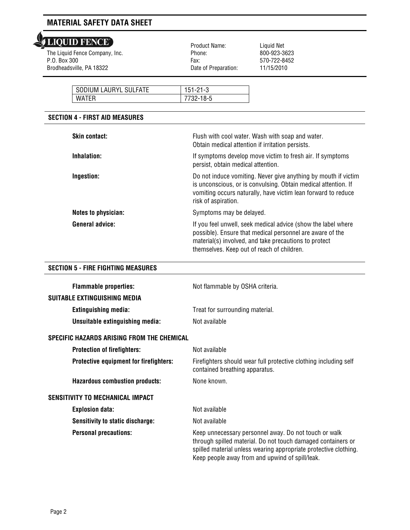# LIQUID FENCE'

 The Liquid Fence Company, Inc. P.O. Box 300 Brodheadsville, PA 18322

 Product Name: Phone: Fax: Date of Preparation:

Liquid Net 800-923-3623 570-722-8452 11/15/2010

| SODIUM LAURYL SULFATE | $151 - 21 - 3$ |
|-----------------------|----------------|
| <b>WATFR</b>          | 732-18-5       |

# **SECTION 4 - FIRST AID MEASURES**

| <b>Skin contact:</b>       | Flush with cool water. Wash with soap and water.<br>Obtain medical attention if irritation persists.                                                                                                                              |
|----------------------------|-----------------------------------------------------------------------------------------------------------------------------------------------------------------------------------------------------------------------------------|
| Inhalation:                | If symptoms develop move victim to fresh air. If symptoms<br>persist, obtain medical attention.                                                                                                                                   |
| Ingestion:                 | Do not induce vomiting. Never give anything by mouth if victim<br>is unconscious, or is convulsing. Obtain medical attention. If<br>vomiting occurs naturally, have victim lean forward to reduce<br>risk of aspiration.          |
| <b>Notes to physician:</b> | Symptoms may be delayed.                                                                                                                                                                                                          |
| General advice:            | If you feel unwell, seek medical advice (show the label where<br>possible). Ensure that medical personnel are aware of the<br>material(s) involved, and take precautions to protect<br>themselves. Keep out of reach of children. |

# **SECTION 5 - FIRE FIGHTING MEASURES**

| <b>Flammable properties:</b><br>SUITABLE EXTINGUISHING MEDIA | Not flammable by OSHA criteria.                                                                                                                                                                                                              |
|--------------------------------------------------------------|----------------------------------------------------------------------------------------------------------------------------------------------------------------------------------------------------------------------------------------------|
| <b>Extinguishing media:</b>                                  | Treat for surrounding material.                                                                                                                                                                                                              |
| Unsuitable extinguishing media:                              | Not available                                                                                                                                                                                                                                |
|                                                              |                                                                                                                                                                                                                                              |
| SPECIFIC HAZARDS ARISING FROM THE CHEMICAL                   |                                                                                                                                                                                                                                              |
| <b>Protection of firefighters:</b>                           | Not available                                                                                                                                                                                                                                |
| Protective equipment for firefighters:                       | Firefighters should wear full protective clothing including self<br>contained breathing apparatus.                                                                                                                                           |
| <b>Hazardous combustion products:</b>                        | None known.                                                                                                                                                                                                                                  |
| <b>SENSITIVITY TO MECHANICAL IMPACT</b>                      |                                                                                                                                                                                                                                              |
| <b>Explosion data:</b>                                       | Not available                                                                                                                                                                                                                                |
| <b>Sensitivity to static discharge:</b>                      | Not available                                                                                                                                                                                                                                |
| <b>Personal precautions:</b>                                 | Keep unnecessary personnel away. Do not touch or walk<br>through spilled material. Do not touch damaged containers or<br>spilled material unless wearing appropriate protective clothing.<br>Keep people away from and upwind of spill/leak. |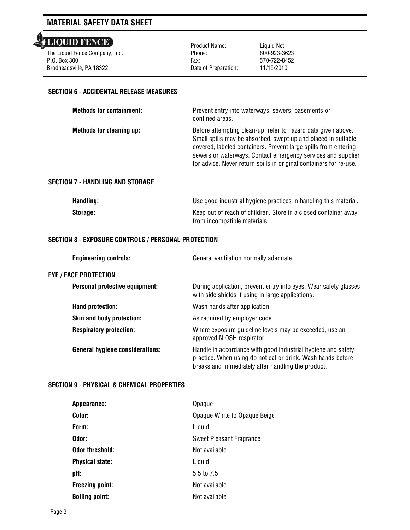**LIQUID FENCE** l

The Liquid Fence Company, Inc. P.O. Box 300 Brodheadsville, PA 18322

Product Name: Phone: Fax: Date of Preparation: Liquid Net 800-923-3623 570-722-8452 11/15/2010

# **SECTION 6 - ACCIDENTAL RELEASE MEASURES**

**Methods for containment:** Prevent entry into waterways, sewers, basements or

confined areas. **Methods for cleaning up:** Before attempting clean-up, refer to hazard data given above.

> Small spills may be absorbed, swept up and placed in suitable, covered, labeled containers. Prevent large spills from entering sewers or waterways. Contact emergency services and supplier for advice. Never return spills in original containers for re-use.

### **SECTION 7 - HANDLING AND STORAGE**

**Handling:** Use good industrial hygiene practices in handling this material.

General ventilation normally adequate.

**Storage: Keep out of reach of children. Store in a closed container away** from incompatible materials.

## **SECTION 8 - EXPOSURE CONTROLS / PERSONAL PROTECTION**

#### **EYE / FACE PROTECTION**

**Personal protective equipment:** During application, prevent entry into eyes. Wear safety glasses

|                                 | with side shields if using in large applications.                                                                                                                                 |
|---------------------------------|-----------------------------------------------------------------------------------------------------------------------------------------------------------------------------------|
| Hand protection:                | Wash hands after application.                                                                                                                                                     |
| Skin and body protection:       | As required by employer code.                                                                                                                                                     |
| <b>Respiratory protection:</b>  | Where exposure guideline levels may be exceeded, use an<br>approved NIOSH respirator.                                                                                             |
| General hygiene considerations: | Handle in accordance with good industrial hygiene and safety<br>practice. When using do not eat or drink. Wash hands before<br>breaks and immediately after handling the product. |

## **SECTION 9 - PHYSICAL & CHEMICAL PROPERTIES**

| Appearance:            | Opaque                       |
|------------------------|------------------------------|
| Color:                 | Opaque White to Opaque Beige |
| Form:                  | Liquid                       |
| Odor:                  | Sweet Pleasant Fragrance     |
| Odor threshold:        | Not available                |
| <b>Physical state:</b> | Liquid                       |
| pH:                    | 5.5 to 7.5                   |
| <b>Freezing point:</b> | Not available                |
| <b>Boiling point:</b>  | Not available                |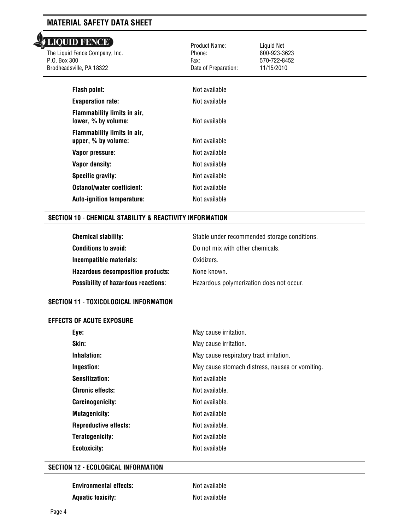| <b>LIQUID FENCE</b><br>The Liquid Fence Company, Inc.<br>P.O. Box 300<br>Brodheadsville, PA 18322 | Product Name:<br>Phone:<br>Fax:<br>Date of Preparation: | Liquid Net<br>800-923-3623<br>570-722-8452<br>11/15/2010 |  |
|---------------------------------------------------------------------------------------------------|---------------------------------------------------------|----------------------------------------------------------|--|
| <b>Flash point:</b>                                                                               | Not available                                           |                                                          |  |
| <b>Evaporation rate:</b>                                                                          | Not available                                           |                                                          |  |
| Flammability limits in air,<br>lower, % by volume:                                                | Not available                                           |                                                          |  |
| Flammability limits in air,<br>upper, % by volume:                                                | Not available                                           |                                                          |  |
| Vapor pressure:                                                                                   | Not available                                           |                                                          |  |
| <b>Vapor density:</b>                                                                             | Not available                                           |                                                          |  |
| Specific gravity:                                                                                 | Not available                                           |                                                          |  |
| Octanol/water coefficient:                                                                        | Not available                                           |                                                          |  |
| Auto-ignition temperature:                                                                        | Not available                                           |                                                          |  |
|                                                                                                   |                                                         |                                                          |  |

### **SECTION 10 - CHEMICAL STABILITY & REACTIVITY INFORMATION**

| <b>Chemical stability:</b>                 | Stable under recommended storage conditions. |
|--------------------------------------------|----------------------------------------------|
| <b>Conditions to avoid:</b>                | Do not mix with other chemicals.             |
| Incompatible materials:                    | Oxidizers.                                   |
| <b>Hazardous decomposition products:</b>   | None known.                                  |
| <b>Possibility of hazardous reactions:</b> | Hazardous polymerization does not occur.     |

#### **SECTION 11 - TOXICOLOGICAL INFORMATION**

#### **EFFECTS OF ACUTE EXPOSURE**

| Eye:                         | May cause irritation.                           |
|------------------------------|-------------------------------------------------|
| Skin:                        | May cause irritation.                           |
| Inhalation:                  | May cause respiratory tract irritation.         |
| Ingestion:                   | May cause stomach distress, nausea or vomiting. |
| Sensitization:               | Not available                                   |
| <b>Chronic effects:</b>      | Not available.                                  |
| Carcinogenicity:             | Not available.                                  |
| <b>Mutagenicity:</b>         | Not available                                   |
| <b>Reproductive effects:</b> | Not available.                                  |
| Teratogenicity:              | Not available                                   |
| Ecotoxicity:                 | Not available                                   |

#### **SECTION 12 - ECOLOGICAL INFORMATION**

| <b>Environmental effects:</b> | Not available |
|-------------------------------|---------------|
| <b>Aquatic toxicity:</b>      | Not available |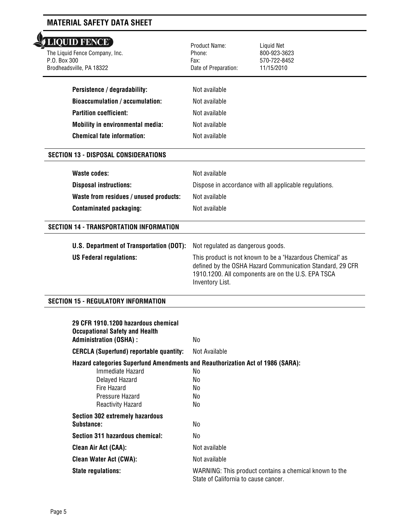# LIQUID FENCE'

l The Liquid Fence Company, Inc. P.O. Box 300 Brodheadsville, PA 18322

| Persistence / degradability:            |  |
|-----------------------------------------|--|
| Bioaccumulation / accumulation:         |  |
| <b>Partition coefficient:</b>           |  |
| <b>Mobility in environmental media:</b> |  |
| <b>Chemical fate information:</b>       |  |

# **SECTION 13 - DISPOSAL CONSIDERATIONS**

| Waste codes:                           | Not available                                          |
|----------------------------------------|--------------------------------------------------------|
| <b>Disposal instructions:</b>          | Dispose in accordance with all applicable regulations. |
| Waste from residues / unused products: | Not available                                          |
| <b>Contaminated packaging:</b>         | Not available                                          |

 Product Name: Phone: Fax:

Date of Preparation:

**Not available Not available Not available Not available Not available**  Liquid Net 800-923-3623 570-722-8452 11/15/2010

## **SECTION 14 - TRANSPORTATION INFORMATION**

| <b>U.S. Department of Transportation (DOT):</b> Not regulated as dangerous goods. |                                                                                                                                                                                                 |
|-----------------------------------------------------------------------------------|-------------------------------------------------------------------------------------------------------------------------------------------------------------------------------------------------|
| <b>US Federal regulations:</b>                                                    | This product is not known to be a "Hazardous Chemical" as<br>defined by the OSHA Hazard Communication Standard, 29 CFR<br>1910.1200. All components are on the U.S. EPA TSCA<br>Inventory List. |

## **SECTION 15 - REGULATORY INFORMATION**

| 29 CFR 1910.1200 hazardous chemical<br><b>Occupational Safety and Health</b>   |                                                                                                |  |
|--------------------------------------------------------------------------------|------------------------------------------------------------------------------------------------|--|
| <b>Administration (OSHA):</b>                                                  | No.                                                                                            |  |
| <b>CERCLA (Superfund) reportable quantity:</b>                                 | Not Available                                                                                  |  |
| Hazard categories Superfund Amendments and Reauthorization Act of 1986 (SARA): |                                                                                                |  |
| Immediate Hazard                                                               | No.                                                                                            |  |
| Delayed Hazard                                                                 | No.                                                                                            |  |
| Fire Hazard                                                                    | No.                                                                                            |  |
| Pressure Hazard                                                                | No                                                                                             |  |
| Reactivity Hazard                                                              | No.                                                                                            |  |
| <b>Section 302 extremely hazardous</b>                                         |                                                                                                |  |
| Substance:                                                                     | No.                                                                                            |  |
| Section 311 hazardous chemical:                                                | No                                                                                             |  |
| <b>Clean Air Act (CAA):</b>                                                    | Not available                                                                                  |  |
| <b>Clean Water Act (CWA):</b>                                                  | Not available                                                                                  |  |
| <b>State regulations:</b>                                                      | WARNING: This product contains a chemical known to the<br>State of California to cause cancer. |  |